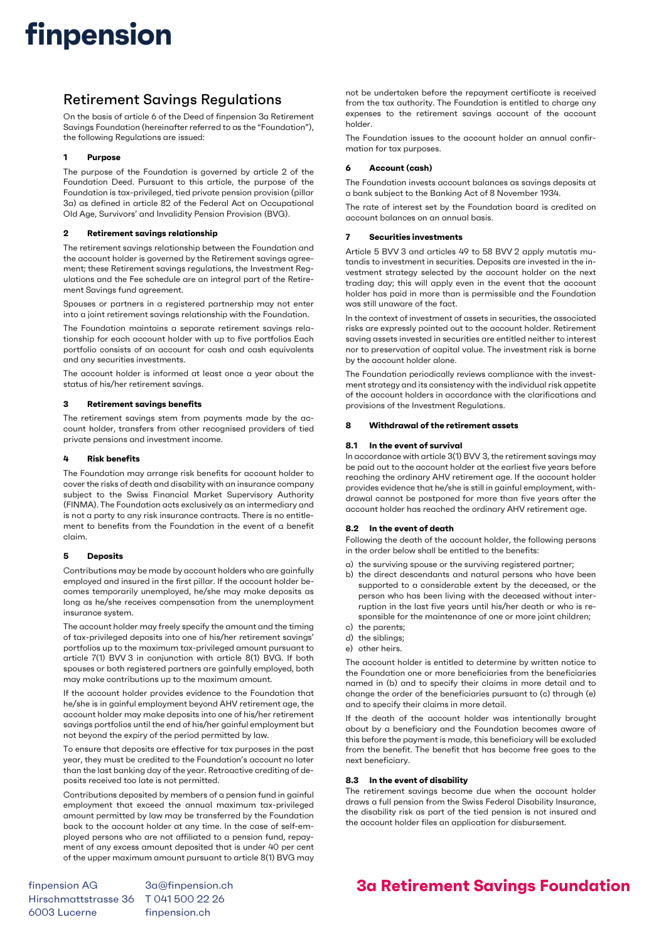## finpension

### Retirement Savings Regulations

On the basis of article 6 of the Deed of finpension 3a Retirement Savings Foundation (hereinafter referred to as the "Foundation"), the following Regulations are issued:

#### 1 Purpose

The purpose of the Foundation is governed by article 2 of the Foundation Deed. Pursuant to this article, the purpose of the Foundation is tax-privileged, tied private pension provision (pillar 3a) as defined in article 82 of the Federal Act on Occupational Old Age, Survivors' and Invalidity Pension Provision (BVG).

#### 2 Retirement savings relationship

The retirement savings relationship between the Foundation and the account holder is governed by the Retirement savings agreement; these Retirement savings regulations, the Investment Regulations and the Fee schedule are an integral part of the Retirement Savings fund agreement.

Spouses or partners in a registered partnership may not enter into a joint retirement savings relationship with the Foundation.

The Foundation maintains a separate retirement savings relationship for each account holder with up to five portfolios Each portfolio consists of an account for cash and cash equivalents and any securities investments.

The account holder is informed at least once a year about the status of his/her retirement savings.

#### 3 Retirement savings benefits

The retirement savings stem from payments made by the account holder, transfers from other recognised providers of tied private pensions and investment income.

#### 4 Risk benefits

The Foundation may arrange risk benefits for account holder to cover the risks of death and disability with an insurance company subject to the Swiss Financial Market Supervisory Authority (FINMA). The Foundation acts exclusively as an intermediary and is not a party to any risk insurance contracts. There is no entitlement to benefits from the Foundation in the event of a benefit claim.

#### 5 Deposits

Contributions may be made by account holders who are gainfully employed and insured in the first pillar. If the account holder becomes temporarily unemployed, he/she may make deposits as long as he/she receives compensation from the unemployment insurance system.

The account holder may freely specify the amount and the timing of tax-privileged deposits into one of his/her retirement savings' portfolios up to the maximum tax-privileged amount pursuant to article 7(1) BVV 3 in conjunction with article 8(1) BVG. If both spouses or both registered partners are gainfully employed, both may make contributions up to the maximum amount.

If the account holder provides evidence to the Foundation that he/she is in gainful employment beyond AHV retirement age, the account holder may make deposits into one of his/her retirement savings portfolios until the end of his/her gainful employment but not beyond the expiry of the period permitted by law.

To ensure that deposits are effective for tax purposes in the past year, they must be credited to the Foundation's account no later than the last banking day of the year. Retroactive crediting of deposits received too late is not permitted.

Contributions deposited by members of a pension fund in gainful employment that exceed the annual maximum tax-privileged amount permitted by law may be transferred by the Foundation back to the account holder at any time. In the case of self-employed persons who are not affiliated to a pension fund, repayment of any excess amount deposited that is under 40 per cent of the upper maximum amount pursuant to article 8(1) BVG may

finpension AG 3a@finpension.ch Hirschmattstrasse 36 T 041 500 22 26 6003 Lucerne finpension.ch

not be undertaken before the repayment certificate is received from the tax authority. The Foundation is entitled to charge any expenses to the retirement savings account of the account holder.

The Foundation issues to the account holder an annual confirmation for tax purposes.

#### 6 Account (cash)

The Foundation invests account balances as savings deposits at a bank subject to the Banking Act of 8 November 1934.

The rate of interest set by the Foundation board is credited on account balances on an annual basis.

#### 7 Securities investments

Article 5 BVV 3 and articles 49 to 58 BVV 2 apply mutatis mutandis to investment in securities. Deposits are invested in the investment strategy selected by the account holder on the next trading day; this will apply even in the event that the account holder has paid in more than is permissible and the Foundation was still unaware of the fact.

In the context of investment of assets in securities, the associated risks are expressly pointed out to the account holder. Retirement saving assets invested in securities are entitled neither to interest nor to preservation of capital value. The investment risk is borne by the account holder alone.

The Foundation periodically reviews compliance with the investment strategy and its consistency with the individual risk appetite of the account holders in accordance with the clarifications and provisions of the Investment Regulations.

#### 8 Withdrawal of the retirement assets

#### 8.1 In the event of survival

In accordance with article 3(1) BVV 3, the retirement savings may be paid out to the account holder at the earliest five years before reaching the ordinary AHV retirement age. If the account holder provides evidence that he/she is still in gainful employment, withdrawal cannot be postponed for more than five years after the account holder has reached the ordinary AHV retirement age.

#### 8.2 In the event of death

Following the death of the account holder, the following persons in the order below shall be entitled to the benefits:

- a) the surviving spouse or the surviving registered partner;
- b) the direct descendants and natural persons who have been supported to a considerable extent by the deceased, or the person who has been living with the deceased without interruption in the last five years until his/her death or who is responsible for the maintenance of one or more joint children;
- c) the parents;
- d) the siblings;
- e) other heirs.

The account holder is entitled to determine by written notice to the Foundation one or more beneficiaries from the beneficiaries named in (b) and to specify their claims in more detail and to change the order of the beneficiaries pursuant to (c) through (e) and to specify their claims in more detail.

If the death of the account holder was intentionally brought about by a beneficiary and the Foundation becomes aware of this before the payment is made, this beneficiary will be excluded from the benefit. The benefit that has become free goes to the next beneficiary.

#### 8.3 In the event of disability

The retirement savings become due when the account holder draws a full pension from the Swiss Federal Disability Insurance, the disability risk as part of the tied pension is not insured and the account holder files an application for disbursement.

### 3a Retirement Savings Foundation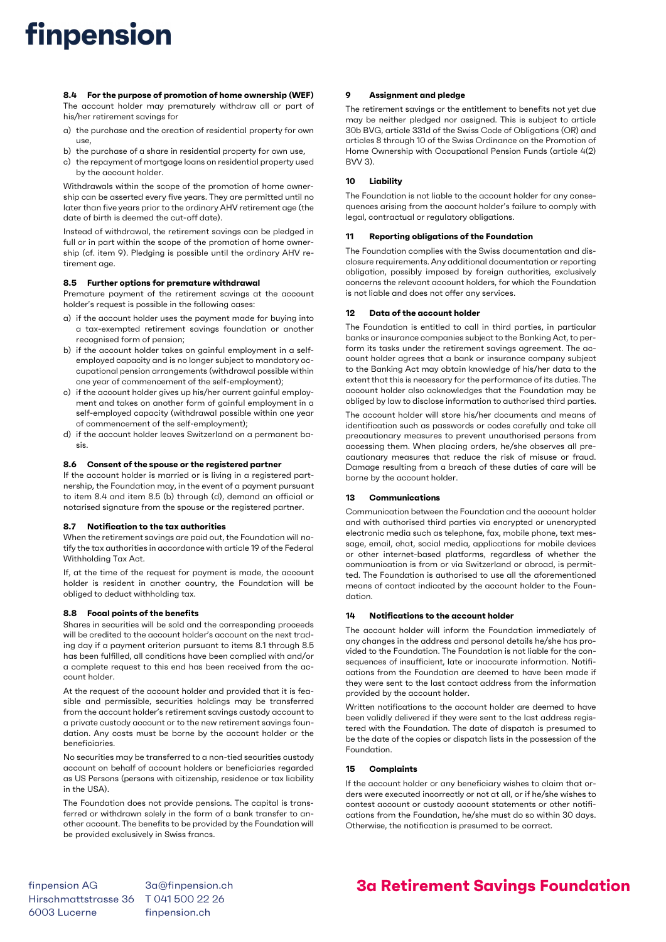# finpension

8.4 For the purpose of promotion of home ownership (WEF) The account holder may prematurely withdraw all or part of his/her retirement savings for

- a) the purchase and the creation of residential property for own use,
- b) the purchase of a share in residential property for own use,
- c) the repayment of mortgage loans on residential property used by the account holder.

Withdrawals within the scope of the promotion of home ownership can be asserted every five years. They are permitted until no later than five years prior to the ordinary AHV retirement age (the date of birth is deemed the cut-off date).

Instead of withdrawal, the retirement savings can be pledged in full or in part within the scope of the promotion of home ownership (cf. item 9). Pledging is possible until the ordinary AHV retirement age.

#### 8.5 Further options for premature withdrawal

Premature payment of the retirement savings at the account holder's request is possible in the following cases:

- a) if the account holder uses the payment made for buying into a tax-exempted retirement savings foundation or another recognised form of pension;
- b) if the account holder takes on gainful employment in a selfemployed capacity and is no longer subject to mandatory occupational pension arrangements (withdrawal possible within one year of commencement of the self-employment);
- c) if the account holder gives up his/her current gainful employment and takes on another form of gainful employment in a self-employed capacity (withdrawal possible within one year of commencement of the self-employment);
- d) if the account holder leaves Switzerland on a permanent basis.

#### 8.6 Consent of the spouse or the registered partner

If the account holder is married or is living in a registered partnership, the Foundation may, in the event of a payment pursuant to item 8.4 and item 8.5 (b) through (d), demand an official or notarised signature from the spouse or the registered partner.

#### 8.7 Notification to the tax authorities

When the retirement savings are paid out, the Foundation will notify the tax authorities in accordance with article 19 of the Federal Withholding Tax Act.

If, at the time of the request for payment is made, the account holder is resident in another country, the Foundation will be obliged to deduct withholding tax.

#### 8.8 Focal points of the benefits

Shares in securities will be sold and the corresponding proceeds will be credited to the account holder's account on the next trading day if a payment criterion pursuant to items 8.1 through 8.5 has been fulfilled, all conditions have been complied with and/or a complete request to this end has been received from the account holder.

At the request of the account holder and provided that it is feasible and permissible, securities holdings may be transferred from the account holder's retirement savings custody account to a private custody account or to the new retirement savings foundation. Any costs must be borne by the account holder or the beneficiaries.

No securities may be transferred to a non-tied securities custody account on behalf of account holders or beneficiaries regarded as US Persons (persons with citizenship, residence or tax liability in the USA).

The Foundation does not provide pensions. The capital is transferred or withdrawn solely in the form of a bank transfer to another account. The benefits to be provided by the Foundation will be provided exclusively in Swiss francs.

#### 9 Assignment and pledge

The retirement savings or the entitlement to benefits not yet due may be neither pledged nor assigned. This is subject to article 30b BVG, article 331d of the Swiss Code of Obligations (OR) and articles 8 through 10 of the Swiss Ordinance on the Promotion of Home Ownership with Occupational Pension Funds (article 4(2) BVV 3).

#### 10 Liability

The Foundation is not liable to the account holder for any consequences arising from the account holder's failure to comply with legal, contractual or regulatory obligations.

#### 11 Reporting obligations of the Foundation

The Foundation complies with the Swiss documentation and disclosure requirements. Any additional documentation or reporting obligation, possibly imposed by foreign authorities, exclusively concerns the relevant account holders, for which the Foundation is not liable and does not offer any services.

#### 12 Data of the account holder

The Foundation is entitled to call in third parties, in particular banks or insurance companies subject to the Banking Act, to perform its tasks under the retirement savings agreement. The account holder agrees that a bank or insurance company subject to the Banking Act may obtain knowledge of his/her data to the extent that this is necessary for the performance of its duties. The account holder also acknowledges that the Foundation may be obliged by law to disclose information to authorised third parties.

The account holder will store his/her documents and means of identification such as passwords or codes carefully and take all precautionary measures to prevent unauthorised persons from accessing them. When placing orders, he/she observes all precautionary measures that reduce the risk of misuse or fraud. Damage resulting from a breach of these duties of care will be borne by the account holder.

#### 13 Communications

Communication between the Foundation and the account holder and with authorised third parties via encrypted or unencrypted electronic media such as telephone, fax, mobile phone, text message, email, chat, social media, applications for mobile devices or other internet-based platforms, regardless of whether the communication is from or via Switzerland or abroad, is permitted. The Foundation is authorised to use all the aforementioned means of contact indicated by the account holder to the Foundation.

#### 14 Notifications to the account holder

The account holder will inform the Foundation immediately of any changes in the address and personal details he/she has provided to the Foundation. The Foundation is not liable for the consequences of insufficient, late or inaccurate information. Notifications from the Foundation are deemed to have been made if they were sent to the last contact address from the information provided by the account holder.

Written notifications to the account holder are deemed to have been validly delivered if they were sent to the last address registered with the Foundation. The date of dispatch is presumed to be the date of the copies or dispatch lists in the possession of the Foundation.

#### 15 Complaints

If the account holder or any beneficiary wishes to claim that orders were executed incorrectly or not at all, or if he/she wishes to contest account or custody account statements or other notifications from the Foundation, he/she must do so within 30 days. Otherwise, the notification is presumed to be correct.

finpension AG 3a@finpension.ch Hirschmattstrasse 36 T 041 500 22 26 6003 Lucerne finpension.ch

### 3a Retirement Savings Foundation